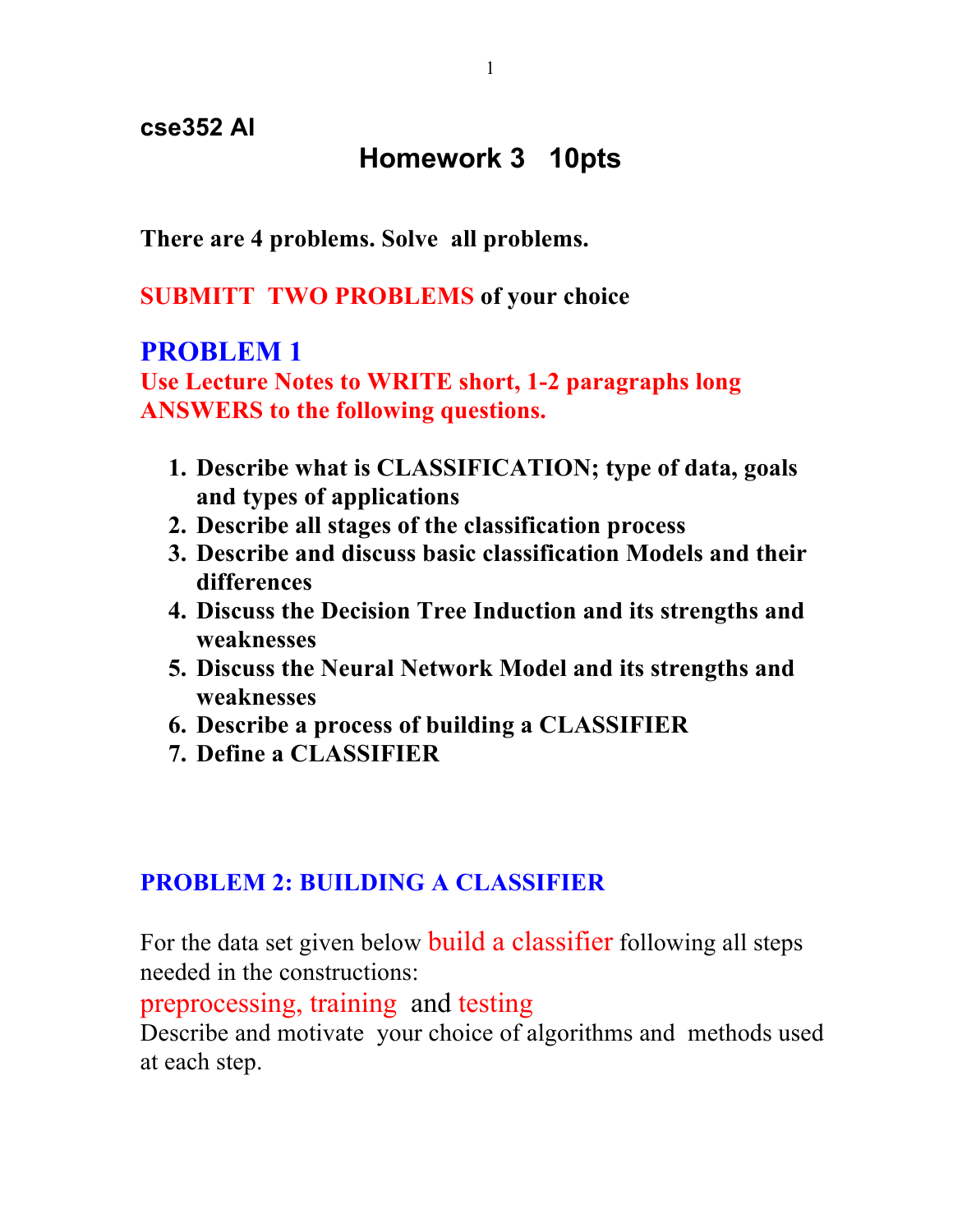**cse352 AI**

### **Homework 3 10pts**

**There are 4 problems. Solve all problems.** 

**SUBMITT TWO PROBLEMS of your choice**

### **PROBLEM 1**

**Use Lecture Notes to WRITE short, 1-2 paragraphs long ANSWERS to the following questions.**

- **1. Describe what is CLASSIFICATION; type of data, goals and types of applications**
- **2. Describe all stages of the classification process**
- **3. Describe and discuss basic classification Models and their differences**
- **4. Discuss the Decision Tree Induction and its strengths and weaknesses**
- **5. Discuss the Neural Network Model and its strengths and weaknesses**
- **6. Describe a process of building a CLASSIFIER**
- **7. Define a CLASSIFIER**

#### **PROBLEM 2: BUILDING A CLASSIFIER**

For the data set given below build a classifier following all steps needed in the constructions:

preprocessing, training and testing

Describe and motivate your choice of algorithms and methods used at each step.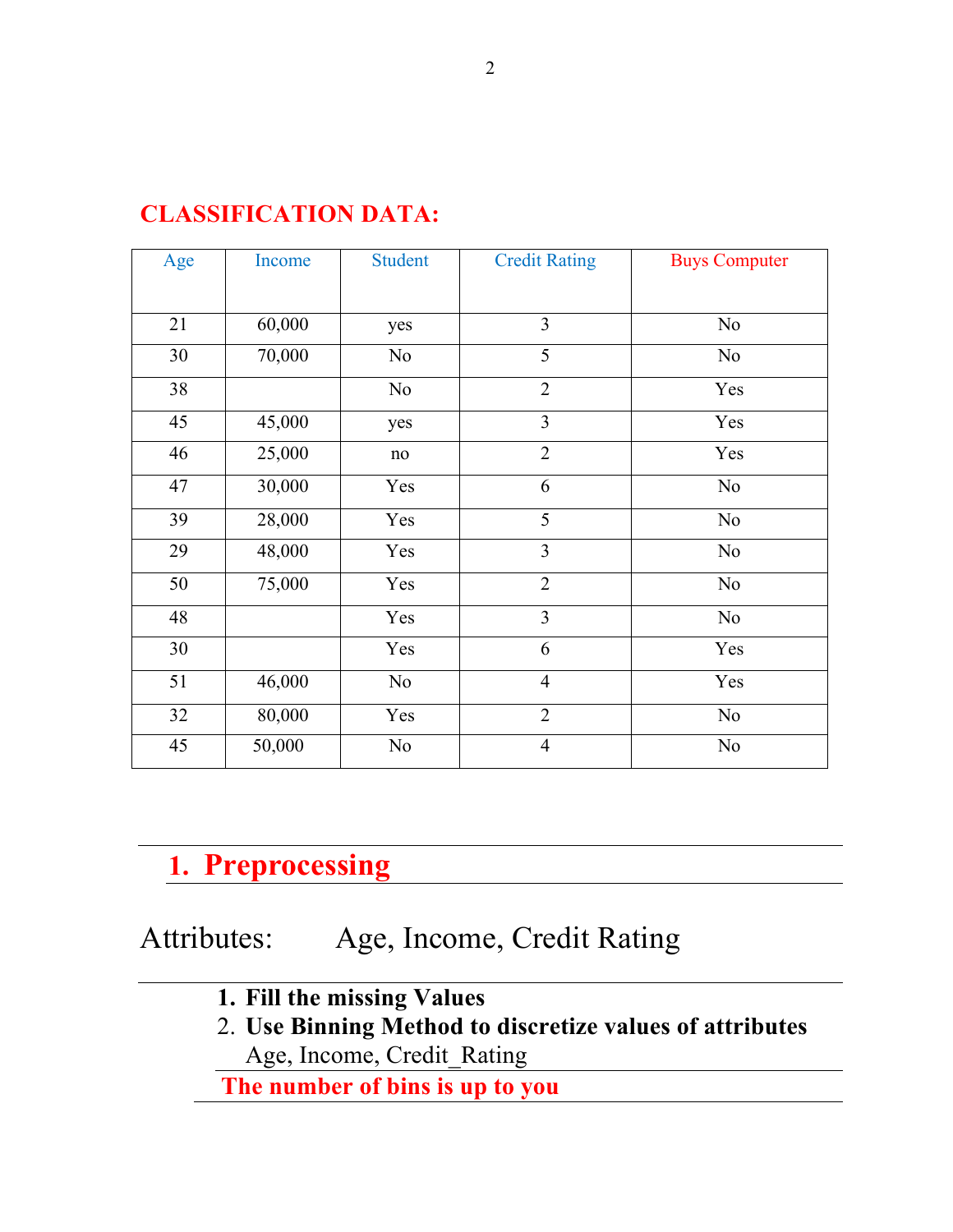| Age | Income | <b>Student</b> | <b>Credit Rating</b> | <b>Buys Computer</b> |
|-----|--------|----------------|----------------------|----------------------|
|     |        |                |                      |                      |
| 21  | 60,000 | yes            | 3                    | $\rm No$             |
| 30  | 70,000 | N <sub>o</sub> | 5                    | No                   |
| 38  |        | N <sub>0</sub> | $\overline{2}$       | Yes                  |
| 45  | 45,000 | yes            | $\overline{3}$       | Yes                  |
| 46  | 25,000 | $\rm no$       | $\sqrt{2}$           | Yes                  |
| 47  | 30,000 | Yes            | 6                    | No                   |
| 39  | 28,000 | Yes            | 5                    | No                   |
| 29  | 48,000 | Yes            | 3                    | No                   |
| 50  | 75,000 | Yes            | $\overline{2}$       | N <sub>0</sub>       |
| 48  |        | Yes            | $\overline{3}$       | No                   |
| 30  |        | Yes            | 6                    | Yes                  |
| 51  | 46,000 | No             | $\overline{4}$       | Yes                  |
| 32  | 80,000 | Yes            | $\overline{2}$       | $\rm No$             |
| 45  | 50,000 | N <sub>0</sub> | $\overline{4}$       | N <sub>0</sub>       |

### **CLASSIFICATION DATA:**

# **1. Preprocessing**

## Attributes:Age, Income, Credit Rating

- **1. Fill the missing Values**
- 2. **Use Binning Method to discretize values of attributes**  Age, Income, Credit\_Rating

 **The number of bins is up to you**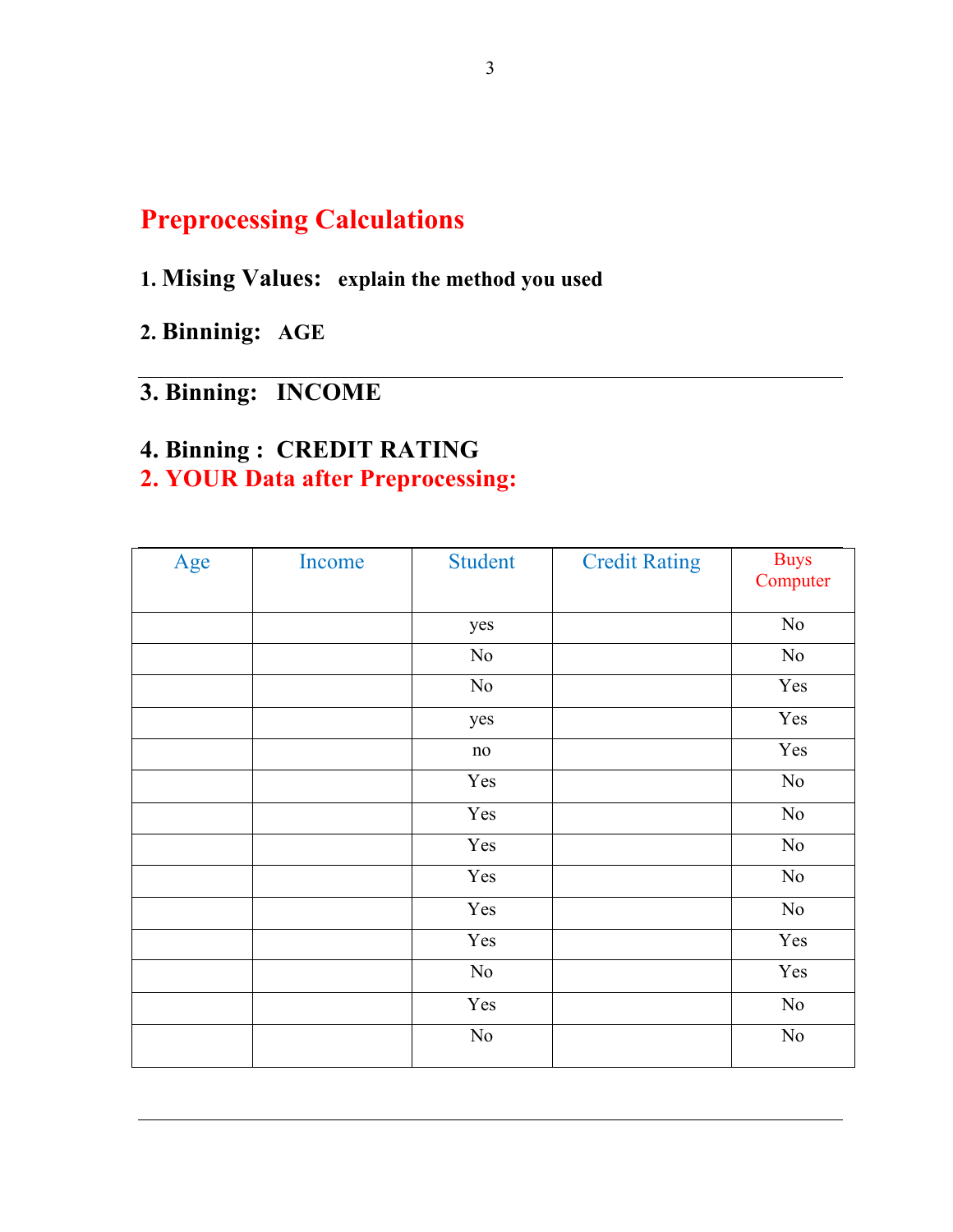### **Preprocessing Calculations**

### **1. Mising Values: explain the method you used**

**2. Binninig: AGE**

### **3. Binning: INCOME**

### **4. Binning : CREDIT RATING**

### **2. YOUR Data after Preprocessing:**

| Age | Income | <b>Student</b> | <b>Credit Rating</b> | <b>Buys</b><br>Computer |
|-----|--------|----------------|----------------------|-------------------------|
|     |        |                |                      |                         |
|     |        | yes            |                      | $\rm No$                |
|     |        | No             |                      | No                      |
|     |        | No             |                      | Yes                     |
|     |        | yes            |                      | Yes                     |
|     |        | $\rm no$       |                      | Yes                     |
|     |        | Yes            |                      | No                      |
|     |        | Yes            |                      | No                      |
|     |        | Yes            |                      | No                      |
|     |        | Yes            |                      | No                      |
|     |        | Yes            |                      | No                      |
|     |        | Yes            |                      | Yes                     |
|     |        | No             |                      | Yes                     |
|     |        | Yes            |                      | No                      |
|     |        | No             |                      | No                      |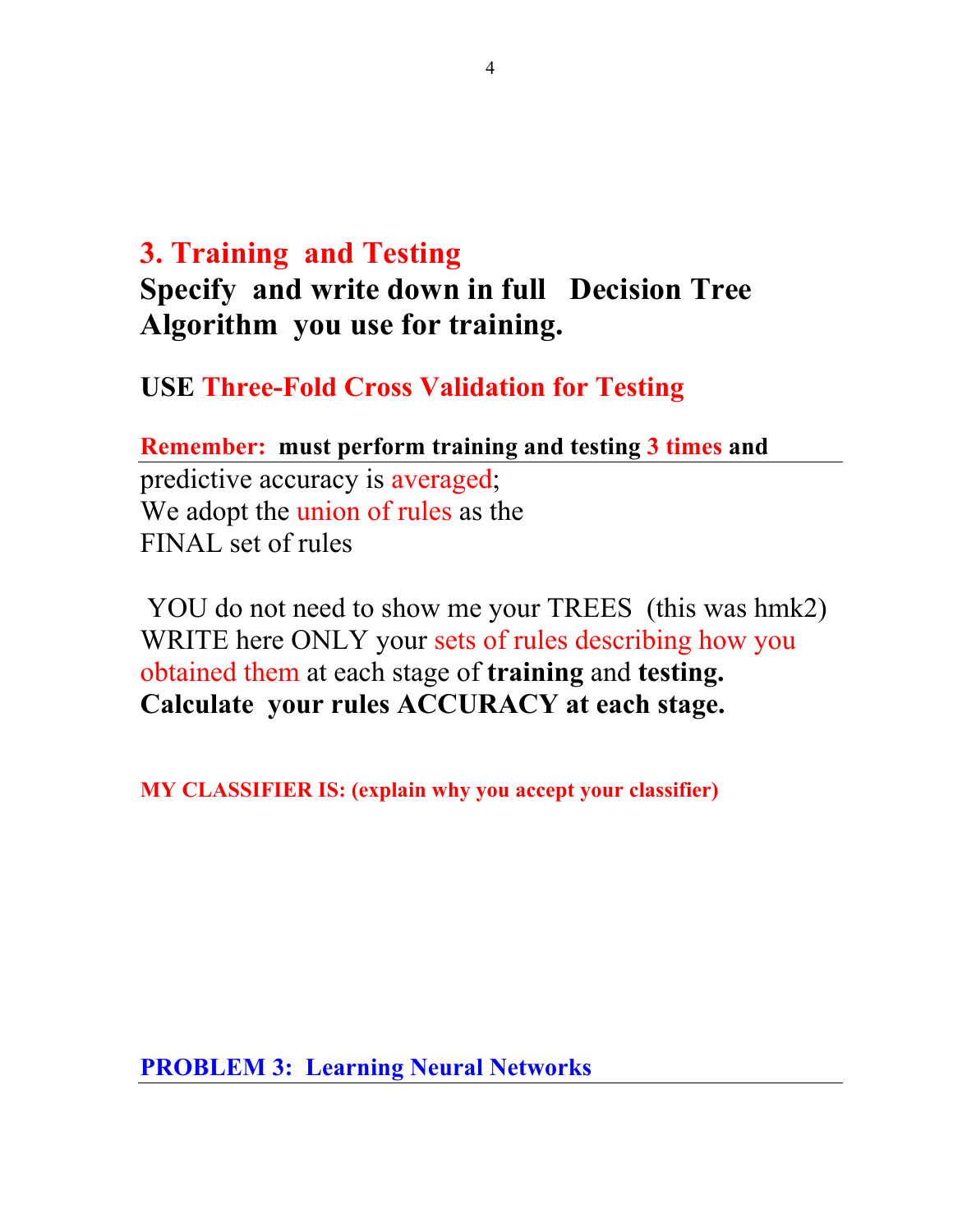## **3. Training and Testing**

## **Specify and write down in full Decision Tree Algorithm you use for training.**

**USE Three-Fold Cross Validation for Testing**

**Remember: must perform training and testing 3 times and**  predictive accuracy is averaged; We adopt the union of rules as the FINAL set of rules

YOU do not need to show me your TREES (this was hmk2) WRITE here ONLY your sets of rules describing how you obtained them at each stage of **training** and **testing. Calculate your rules ACCURACY at each stage.**

**MY CLASSIFIER IS: (explain why you accept your classifier)**

**PROBLEM 3: Learning Neural Networks**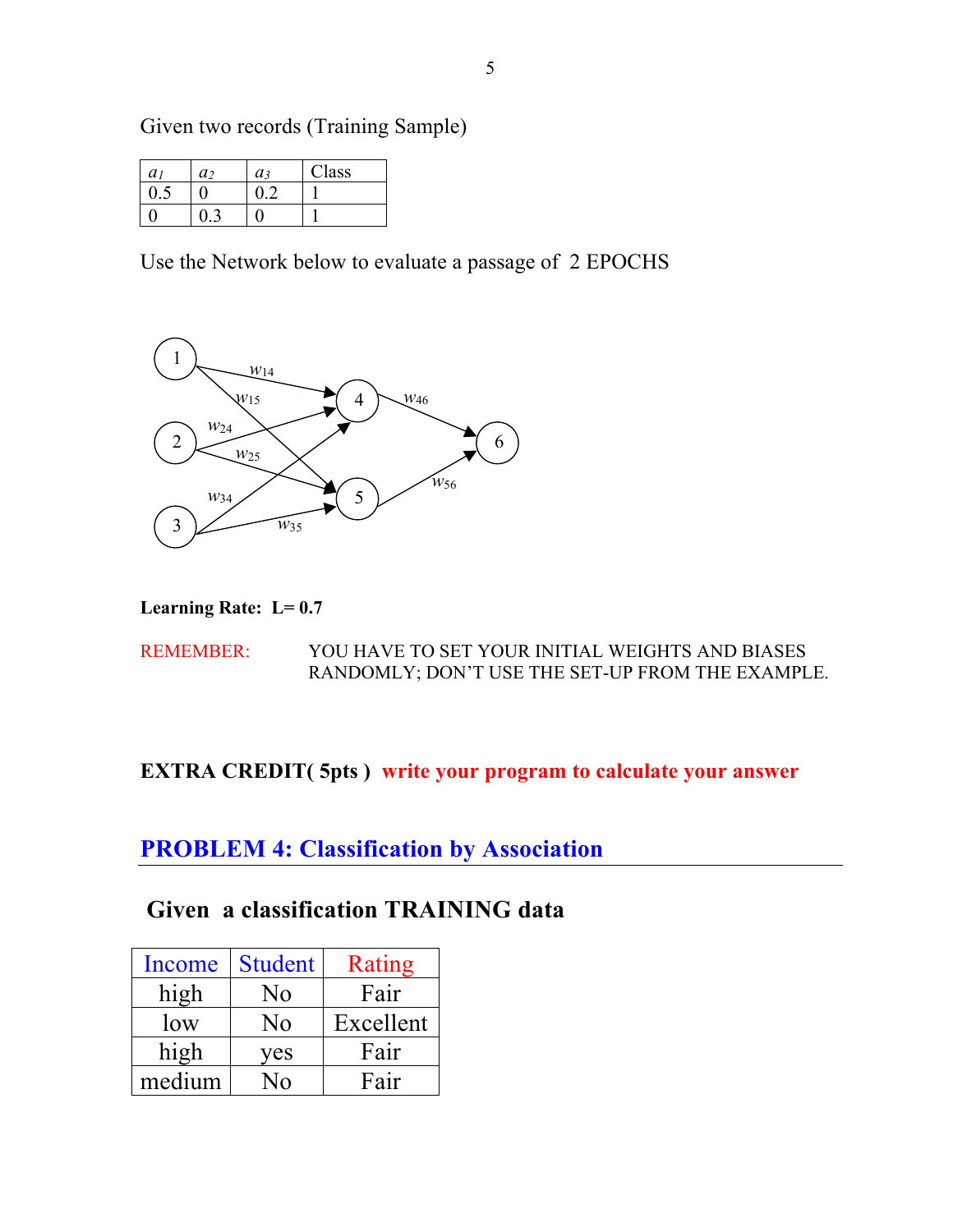Given two records (Training Sample)

| a1 | a, | $a_3$ | lass |
|----|----|-------|------|
|    |    |       |      |
|    |    |       |      |

Use the Network below to evaluate a passage of 2 EPOCHS



**Learning Rate: L= 0.7**

REMEMBER: YOU HAVE TO SET YOUR INITIAL WEIGHTS AND BIASES RANDOMLY; DON'T USE THE SET-UP FROM THE EXAMPLE.

#### **EXTRA CREDIT( 5pts ) write your program to calculate your answer**

**PROBLEM 4: Classification by Association** 

**Given a classification TRAINING data**

| Income | <b>Student</b> | Rating    |
|--------|----------------|-----------|
| high   | No             | Fair      |
| low    | No             | Excellent |
| high   | yes            | Fair      |
| medium | ഹ              | Fair      |